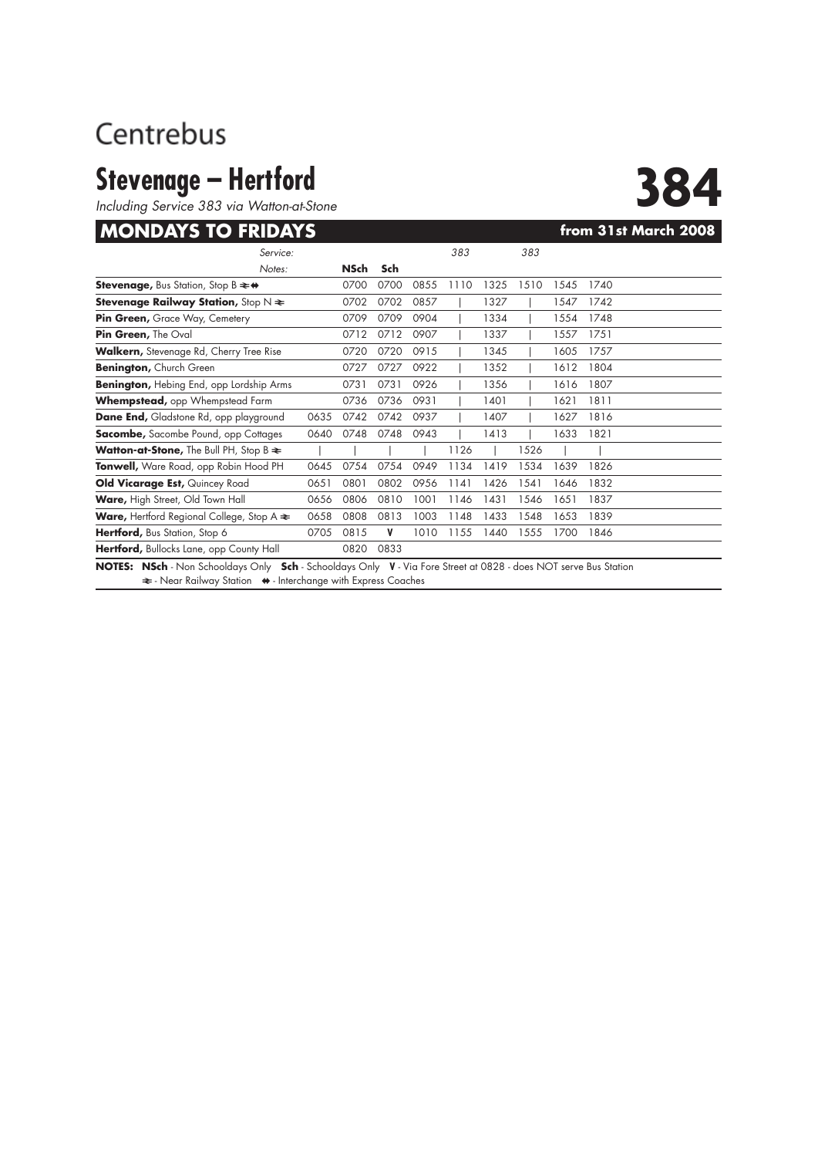## Centrebus

# **Stevenage – Hertford**<br>Including Service 383 via Watton-at-Stone

### **MONDAYS TO FRIDAYS** *CONDAYS CONDAYS CONDAYS CONDAYS CONDAYS CONDAYS CONDAYS CONDAYS CONDAYS CONDAYS CONDAYS CONDAYS CONDAYS CONDAYS CONDAYS CONDAYS CONDAYS*

| Including Service 383 via Watton-at-Stone                                                                                                                                         |      |      |      |      |      |      |      |      |                      |
|-----------------------------------------------------------------------------------------------------------------------------------------------------------------------------------|------|------|------|------|------|------|------|------|----------------------|
| <b>MONDAYS TO FRIDAYS</b>                                                                                                                                                         |      |      |      |      |      |      |      |      | from 31st March 2008 |
| Service:                                                                                                                                                                          |      |      |      |      | 383  |      | 383  |      |                      |
| Notes:                                                                                                                                                                            |      | NSch | Sch  |      |      |      |      |      |                      |
| <b>Stevenage, Bus Station, Stop B <math>\rightleftharpoons</math> <math>\leftrightarrow</math></b>                                                                                |      | 0700 | 0700 | 0855 | 1110 | 1325 | 1510 | 1545 | 1740                 |
| <b>Stevenage Railway Station, Stop N <math>\neq</math></b>                                                                                                                        |      | 0702 | 0702 | 0857 |      | 1327 |      | 1547 | 1742                 |
| Pin Green, Grace Way, Cemetery                                                                                                                                                    |      | 0709 | 0709 | 0904 |      | 1334 |      | 1554 | 1748                 |
| Pin Green, The Oval                                                                                                                                                               |      | 0712 | 0712 | 0907 |      | 1337 |      | 1557 | 1751                 |
| <b>Walkern,</b> Stevenage Rd, Cherry Tree Rise                                                                                                                                    |      | 0720 | 0720 | 0915 |      | 1345 |      | 1605 | 1757                 |
| <b>Benington, Church Green</b>                                                                                                                                                    |      | 0727 | 0727 | 0922 |      | 1352 |      | 1612 | 1804                 |
| <b>Benington, Hebing End, opp Lordship Arms</b>                                                                                                                                   |      | 0731 | 0731 | 0926 |      | 1356 |      | 1616 | 1807                 |
| <b>Whempstead,</b> opp Whempstead Farm                                                                                                                                            |      | 0736 | 0736 | 0931 |      | 1401 |      | 1621 | 1811                 |
| <b>Dane End, Gladstone Rd, opp playground</b>                                                                                                                                     | 0635 | 0742 | 0742 | 0937 |      | 1407 |      | 1627 | 1816                 |
| <b>Sacombe, Sacombe Pound, opp Cottages</b>                                                                                                                                       | 0640 | 0748 | 0748 | 0943 |      | 1413 |      | 1633 | 1821                 |
| Watton-at-Stone, The Bull PH, Stop B $\approx$                                                                                                                                    |      |      |      |      | 1126 |      | 1526 |      |                      |
| Tonwell, Ware Road, opp Robin Hood PH                                                                                                                                             | 0645 | 0754 | 0754 | 0949 | 1134 | 1419 | 1534 | 1639 | 1826                 |
| Old Vicarage Est, Quincey Road                                                                                                                                                    | 0651 | 0801 | 0802 | 0956 | 1141 | 1426 | 1541 | 1646 | 1832                 |
| Ware, High Street, Old Town Hall                                                                                                                                                  | 0656 | 0806 | 0810 | 1001 | 1146 | 1431 | 1546 | 1651 | 1837                 |
| <b>Ware, Hertford Regional College, Stop A <math>\approx</math></b>                                                                                                               | 0658 | 0808 | 0813 | 1003 | 1148 | 1433 | 1548 | 1653 | 1839                 |
| Hertford, Bus Station, Stop 6                                                                                                                                                     | 0705 | 0815 | V    | 1010 | 1155 | 1440 | 1555 | 1700 | 1846                 |
| Hertford, Bullocks Lane, opp County Hall                                                                                                                                          |      | 0820 | 0833 |      |      |      |      |      |                      |
| NOTES: NSch - Non Schooldays Only Sch - Schooldays Only V - Via Fore Street at 0828 - does NOT serve Bus Station<br>₹ - Near Railway Station ♦ - Interchange with Express Coaches |      |      |      |      |      |      |      |      |                      |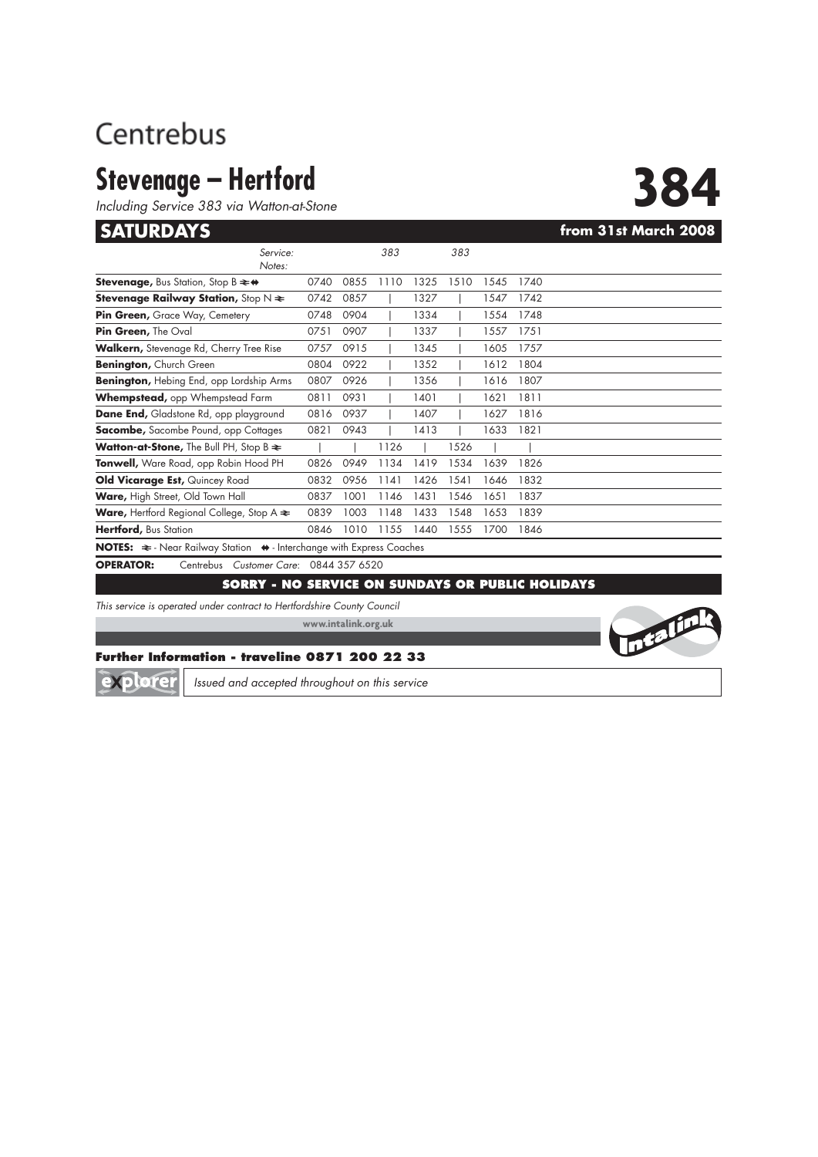## Centrebus

# **Stevenage – Hertford**<br>
Including Service 383 via Watton-at-Stone<br> **SATURDAYS**

*Including Service 383 via Watton-at-Stone*

**Intellin** 

| <b>SATURDAYS</b>                                                                            |      |      |      |      |      |      |      | from 31st March 2008 |
|---------------------------------------------------------------------------------------------|------|------|------|------|------|------|------|----------------------|
| Service:<br>Notes:                                                                          |      |      | 383  |      | 383  |      |      |                      |
| <b>Stevenage, Bus Station, Stop B <math>\Rightarrow</math> <math>\leftrightarrow</math></b> | 0740 | 0855 | 1110 | 1325 | 1510 | 1545 | 1740 |                      |
| <b>Stevenage Railway Station,</b> Stop N $\bm{\divideontimes}$                              | 0742 | 0857 |      | 1327 |      | 1547 | 1742 |                      |
| Pin Green, Grace Way, Cemetery                                                              | 0748 | 0904 |      | 1334 |      | 1554 | 1748 |                      |
| <b>Pin Green,</b> The Oval                                                                  | 0751 | 0907 |      | 1337 |      | 1557 | 1751 |                      |
| Walkern, Stevenage Rd, Cherry Tree Rise                                                     | 0757 | 0915 |      | 1345 |      | 1605 | 1757 |                      |
| <b>Benington, Church Green</b>                                                              | 0804 | 0922 |      | 1352 |      | 1612 | 1804 |                      |
| Benington, Hebing End, opp Lordship Arms                                                    | 0807 | 0926 |      | 1356 |      | 1616 | 1807 |                      |
| Whempstead, opp Whempstead Farm                                                             | 0811 | 0931 |      | 1401 |      | 1621 | 1811 |                      |
| <b>Dane End,</b> Gladstone Rd, opp playground                                               | 0816 | 0937 |      | 1407 |      | 1627 | 1816 |                      |
| <b>Sacombe,</b> Sacombe Pound, opp Cottages                                                 | 0821 | 0943 |      | 1413 |      | 1633 | 1821 |                      |
| <b>Watton-at-Stone,</b> The Bull PH, Stop B $\approx$                                       |      |      | 1126 |      | 1526 |      |      |                      |
| Tonwell, Ware Road, opp Robin Hood PH                                                       | 0826 | 0949 | 1134 | 1419 | 1534 | 1639 | 1826 |                      |
| Old Vicarage Est, Quincey Road                                                              | 0832 | 0956 | 1141 | 1426 | 1541 | 1646 | 1832 |                      |
| Ware, High Street, Old Town Hall                                                            | 0837 | 1001 | 1146 | 1431 | 1546 | 1651 | 1837 |                      |
| <b>Ware,</b> Hertford Regional College, Stop A $\approx$                                    | 0839 | 1003 | 1148 | 1433 | 1548 | 1653 | 1839 |                      |
| Hertford, Bus Station                                                                       | 0846 | 1010 | 1155 | 1440 | 1555 | 1700 | 1846 |                      |
|                                                                                             |      |      |      |      |      |      |      |                      |

**NOTES:**  $\Rightarrow$  - Near Railway Station  $\leftrightarrow$  - Interchange with Express Coaches

**OPERATOR:** Centrebus *Customer Care*: 0844 357 6520

### **SORRY - NO SERVICE ON SUNDAYS OR PUBLIC HOLIDAYS**

*This service is operated under contract to Hertfordshire County Council*

**www.intalink.org.uk**

### **Further Information - traveline 0871 200 22 33**

explorer

*Issued and accepted throughout on this service*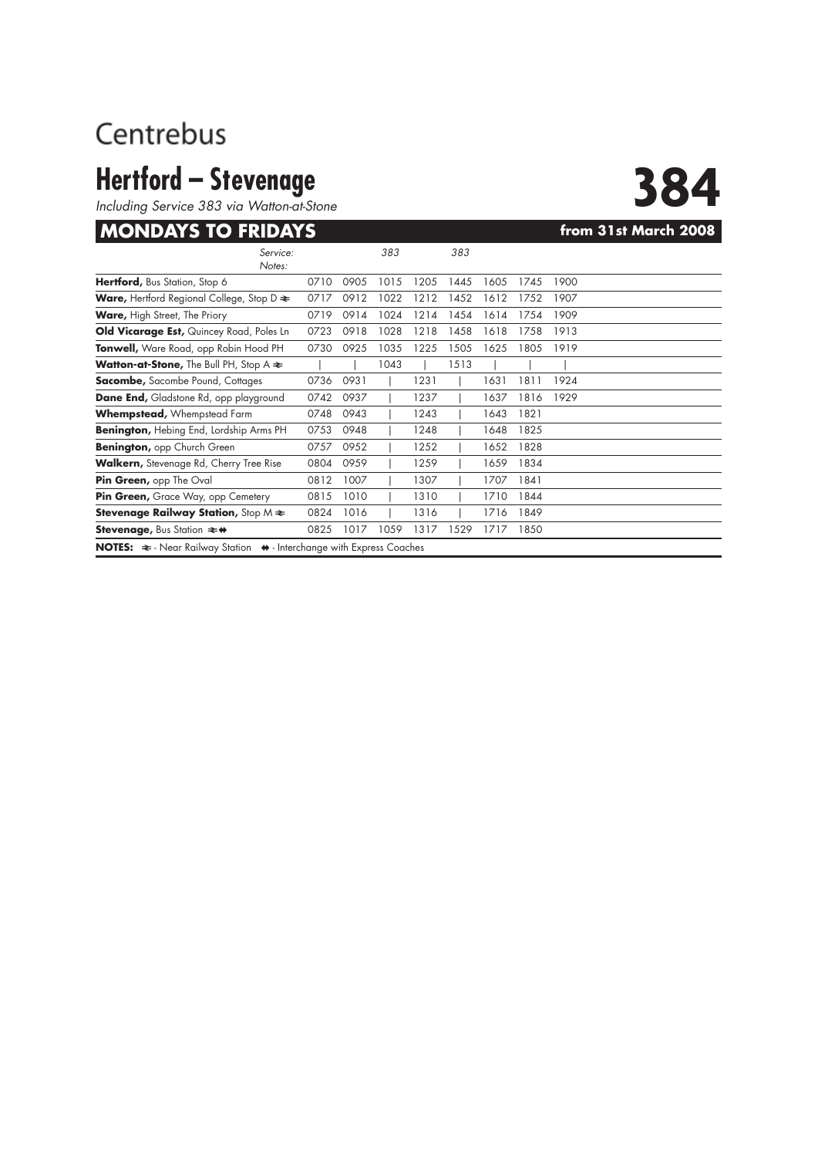# **Hertford – Stevenage**<br>Including Service 383 via Watton-at-Stone

### **MONDAYS TO FRIDAYS EXAMPLE 2008**

| Including Service 383 via Watton-at-Stone                                                    |      |      |      |      |      |      |      |                      |
|----------------------------------------------------------------------------------------------|------|------|------|------|------|------|------|----------------------|
| <b>MONDAYS TO FRIDAYS</b>                                                                    |      |      |      |      |      |      |      | from 31st March 2008 |
| Service:<br>Notes:                                                                           |      |      | 383  |      | 383  |      |      |                      |
| Hertford, Bus Station, Stop 6                                                                | 0710 | 0905 | 1015 | 1205 | 1445 | 1605 | 1745 | 1900                 |
| <b>Ware, Hertford Regional College, Stop D <math>\approx</math></b>                          | 0717 | 0912 | 1022 | 1212 | 1452 | 1612 | 1752 | 1907                 |
| <b>Ware, High Street, The Priory</b>                                                         | 0719 | 0914 | 1024 | 1214 | 1454 | 1614 | 1754 | 1909                 |
| Old Vicarage Est, Quincey Road, Poles Ln                                                     | 0723 | 0918 | 1028 | 1218 | 1458 | 1618 | 1758 | 1913                 |
| Tonwell, Ware Road, opp Robin Hood PH                                                        | 0730 | 0925 | 1035 | 1225 | 1505 | 1625 | 1805 | 1919                 |
| <b>Watton-at-Stone, The Bull PH, Stop A <math>\approx</math></b>                             |      |      | 1043 |      | 1513 |      |      |                      |
| <b>Sacombe, Sacombe Pound, Cottages</b>                                                      | 0736 | 0931 |      | 1231 |      | 1631 | 1811 | 1924                 |
| Dane End, Gladstone Rd, opp playground                                                       | 0742 | 0937 |      | 1237 |      | 1637 | 1816 | 1929                 |
| <b>Whempstead, Whempstead Farm</b>                                                           | 0748 | 0943 |      | 1243 |      | 1643 | 1821 |                      |
| <b>Benington, Hebing End, Lordship Arms PH</b>                                               | 0753 | 0948 |      | 1248 |      | 1648 | 1825 |                      |
| <b>Benington, opp Church Green</b>                                                           | 0757 | 0952 |      | 1252 |      | 1652 | 1828 |                      |
| <b>Walkern,</b> Stevenage Rd, Cherry Tree Rise                                               | 0804 | 0959 |      | 1259 |      | 1659 | 1834 |                      |
| Pin Green, opp The Oval                                                                      | 0812 | 1007 |      | 1307 |      | 1707 | 1841 |                      |
| Pin Green, Grace Way, opp Cemetery                                                           | 0815 | 1010 |      | 1310 |      | 1710 | 1844 |                      |
| <b>Stevenage Railway Station, Stop M <math>\approx</math></b>                                | 0824 | 1016 |      | 1316 |      | 1716 | 1849 |                      |
| <b>Stevenage, Bus Station <math>\rightleftarrows</math> ↔</b>                                | 0825 | 1017 | 1059 | 1317 | 1529 | 1717 | 1850 |                      |
| NOTES: $\approx$ - Near Railway Station $\leftrightarrow$ - Interchange with Express Coaches |      |      |      |      |      |      |      |                      |